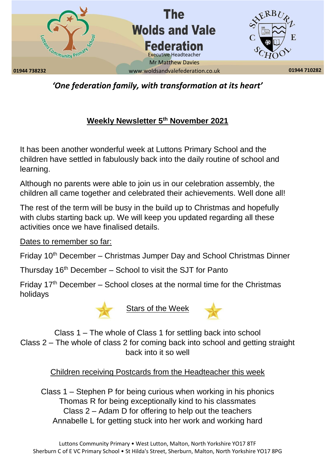

*'One federation family, with transformation at its heart'*

## **Weekly Newsletter 5th November 2021**

It has been another wonderful week at Luttons Primary School and the children have settled in fabulously back into the daily routine of school and learning.

Although no parents were able to join us in our celebration assembly, the children all came together and celebrated their achievements. Well done all!

The rest of the term will be busy in the build up to Christmas and hopefully with clubs starting back up. We will keep you updated regarding all these activities once we have finalised details.

Dates to remember so far:

Friday 10<sup>th</sup> December – Christmas Jumper Day and School Christmas Dinner

Thursday  $16<sup>th</sup>$  December – School to visit the SJT for Panto

Friday  $17<sup>th</sup>$  December – School closes at the normal time for the Christmas holidays





Class 1 – The whole of Class 1 for settling back into school Class 2 – The whole of class 2 for coming back into school and getting straight back into it so well

Children receiving Postcards from the Headteacher this week

Class 1 – Stephen P for being curious when working in his phonics Thomas R for being exceptionally kind to his classmates Class 2 – Adam D for offering to help out the teachers Annabelle L for getting stuck into her work and working hard